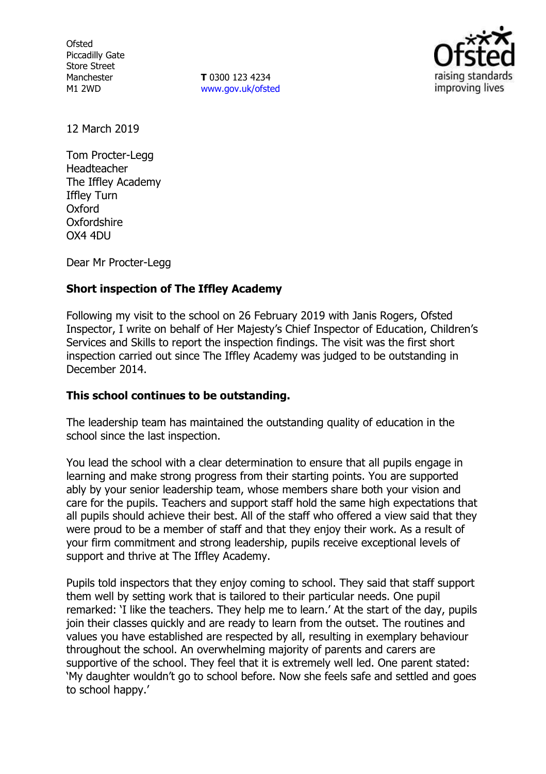**Ofsted** Piccadilly Gate Store Street Manchester M1 2WD

**T** 0300 123 4234 www.gov.uk/ofsted



12 March 2019

Tom Procter-Legg Headteacher The Iffley Academy Iffley Turn Oxford Oxfordshire OX4 4DU

Dear Mr Procter-Legg

## **Short inspection of The Iffley Academy**

Following my visit to the school on 26 February 2019 with Janis Rogers, Ofsted Inspector, I write on behalf of Her Majesty's Chief Inspector of Education, Children's Services and Skills to report the inspection findings. The visit was the first short inspection carried out since The Iffley Academy was judged to be outstanding in December 2014.

## **This school continues to be outstanding.**

The leadership team has maintained the outstanding quality of education in the school since the last inspection.

You lead the school with a clear determination to ensure that all pupils engage in learning and make strong progress from their starting points. You are supported ably by your senior leadership team, whose members share both your vision and care for the pupils. Teachers and support staff hold the same high expectations that all pupils should achieve their best. All of the staff who offered a view said that they were proud to be a member of staff and that they enjoy their work. As a result of your firm commitment and strong leadership, pupils receive exceptional levels of support and thrive at The Iffley Academy.

Pupils told inspectors that they enjoy coming to school. They said that staff support them well by setting work that is tailored to their particular needs. One pupil remarked: 'I like the teachers. They help me to learn.' At the start of the day, pupils join their classes quickly and are ready to learn from the outset. The routines and values you have established are respected by all, resulting in exemplary behaviour throughout the school. An overwhelming majority of parents and carers are supportive of the school. They feel that it is extremely well led. One parent stated: 'My daughter wouldn't go to school before. Now she feels safe and settled and goes to school happy.'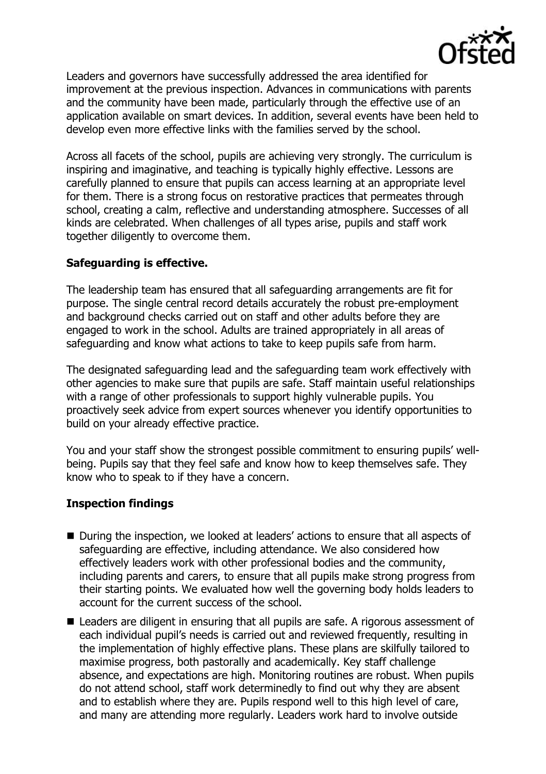

Leaders and governors have successfully addressed the area identified for improvement at the previous inspection. Advances in communications with parents and the community have been made, particularly through the effective use of an application available on smart devices. In addition, several events have been held to develop even more effective links with the families served by the school.

Across all facets of the school, pupils are achieving very strongly. The curriculum is inspiring and imaginative, and teaching is typically highly effective. Lessons are carefully planned to ensure that pupils can access learning at an appropriate level for them. There is a strong focus on restorative practices that permeates through school, creating a calm, reflective and understanding atmosphere. Successes of all kinds are celebrated. When challenges of all types arise, pupils and staff work together diligently to overcome them.

## **Safeguarding is effective.**

The leadership team has ensured that all safeguarding arrangements are fit for purpose. The single central record details accurately the robust pre-employment and background checks carried out on staff and other adults before they are engaged to work in the school. Adults are trained appropriately in all areas of safeguarding and know what actions to take to keep pupils safe from harm.

The designated safeguarding lead and the safeguarding team work effectively with other agencies to make sure that pupils are safe. Staff maintain useful relationships with a range of other professionals to support highly vulnerable pupils. You proactively seek advice from expert sources whenever you identify opportunities to build on your already effective practice.

You and your staff show the strongest possible commitment to ensuring pupils' wellbeing. Pupils say that they feel safe and know how to keep themselves safe. They know who to speak to if they have a concern.

# **Inspection findings**

- During the inspection, we looked at leaders' actions to ensure that all aspects of safeguarding are effective, including attendance. We also considered how effectively leaders work with other professional bodies and the community, including parents and carers, to ensure that all pupils make strong progress from their starting points. We evaluated how well the governing body holds leaders to account for the current success of the school.
- Leaders are diligent in ensuring that all pupils are safe. A rigorous assessment of each individual pupil's needs is carried out and reviewed frequently, resulting in the implementation of highly effective plans. These plans are skilfully tailored to maximise progress, both pastorally and academically. Key staff challenge absence, and expectations are high. Monitoring routines are robust. When pupils do not attend school, staff work determinedly to find out why they are absent and to establish where they are. Pupils respond well to this high level of care, and many are attending more regularly. Leaders work hard to involve outside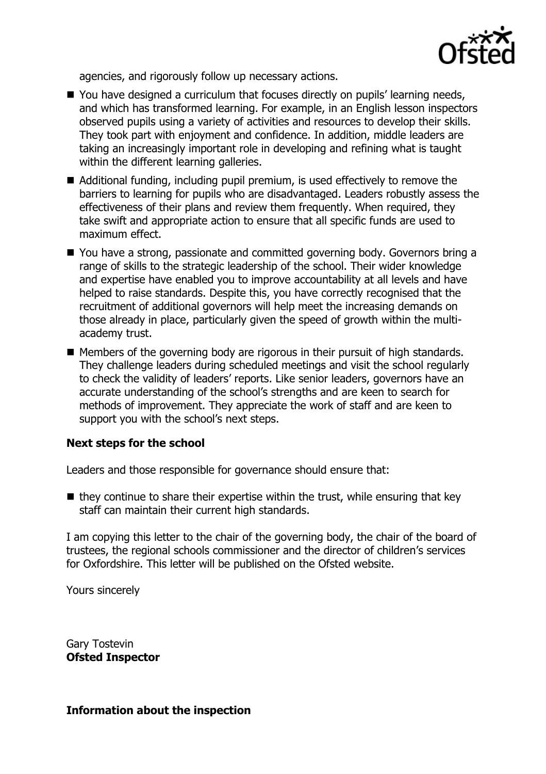

agencies, and rigorously follow up necessary actions.

- You have designed a curriculum that focuses directly on pupils' learning needs, and which has transformed learning. For example, in an English lesson inspectors observed pupils using a variety of activities and resources to develop their skills. They took part with enjoyment and confidence. In addition, middle leaders are taking an increasingly important role in developing and refining what is taught within the different learning galleries.
- Additional funding, including pupil premium, is used effectively to remove the barriers to learning for pupils who are disadvantaged. Leaders robustly assess the effectiveness of their plans and review them frequently. When required, they take swift and appropriate action to ensure that all specific funds are used to maximum effect.
- You have a strong, passionate and committed governing body. Governors bring a range of skills to the strategic leadership of the school. Their wider knowledge and expertise have enabled you to improve accountability at all levels and have helped to raise standards. Despite this, you have correctly recognised that the recruitment of additional governors will help meet the increasing demands on those already in place, particularly given the speed of growth within the multiacademy trust.
- Members of the governing body are rigorous in their pursuit of high standards. They challenge leaders during scheduled meetings and visit the school regularly to check the validity of leaders' reports. Like senior leaders, governors have an accurate understanding of the school's strengths and are keen to search for methods of improvement. They appreciate the work of staff and are keen to support you with the school's next steps.

## **Next steps for the school**

Leaders and those responsible for governance should ensure that:

 $\blacksquare$  they continue to share their expertise within the trust, while ensuring that key staff can maintain their current high standards.

I am copying this letter to the chair of the governing body, the chair of the board of trustees, the regional schools commissioner and the director of children's services for Oxfordshire. This letter will be published on the Ofsted website.

Yours sincerely

Gary Tostevin **Ofsted Inspector**

## **Information about the inspection**